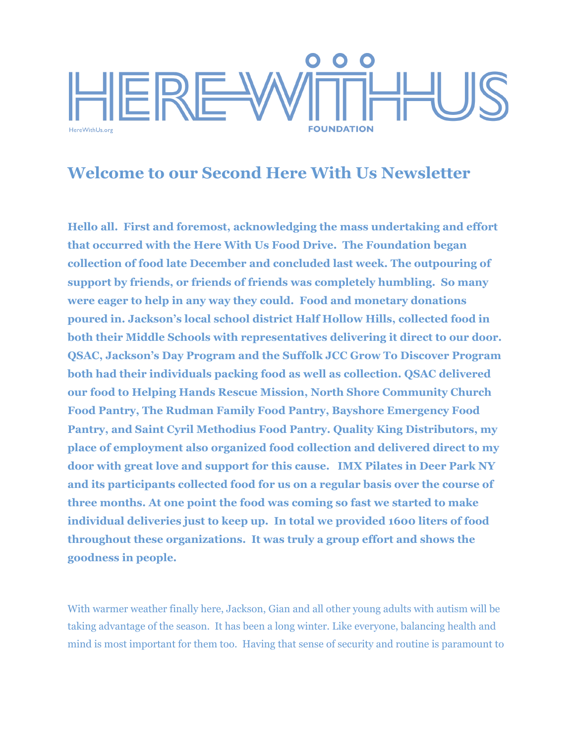

## **Welcome to our Second Here With Us Newsletter**

**Hello all. First and foremost, acknowledging the mass undertaking and effort that occurred with the Here With Us Food Drive. The Foundation began collection of food late December and concluded last week. The outpouring of support by friends, or friends of friends was completely humbling. So many were eager to help in any way they could. Food and monetary donations poured in. Jackson's local school district Half Hollow Hills, collected food in both their Middle Schools with representatives delivering it direct to our door. QSAC, Jackson's Day Program and the Suffolk JCC Grow To Discover Program both had their individuals packing food as well as collection. QSAC delivered our food to Helping Hands Rescue Mission, North Shore Community Church Food Pantry, The Rudman Family Food Pantry, Bayshore Emergency Food Pantry, and Saint Cyril Methodius Food Pantry. Quality King Distributors, my place of employment also organized food collection and delivered direct to my door with great love and support for this cause. IMX Pilates in Deer Park NY and its participants collected food for us on a regular basis over the course of three months. At one point the food was coming so fast we started to make individual deliveries just to keep up. In total we provided 1600 liters of food throughout these organizations. It was truly a group effort and shows the goodness in people.**

With warmer weather finally here, Jackson, Gian and all other young adults with autism will be taking advantage of the season. It has been a long winter. Like everyone, balancing health and mind is most important for them too. Having that sense of security and routine is paramount to